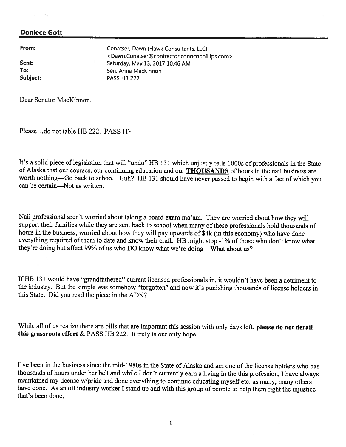From: Conatser, Dawn (Hawk Consultants, LLC) <Dawn.Conatser@contractor.conocophillips.com> **Sent:** Saturday, May 13, 2017 10:46 AM To: Sen. Anna MacKinnon Subject: PASS HB 222

Dear Senator MacKinnon,

Please...do not table HB 222. PASS IT $\sim$ .

It's <sup>a</sup> solid <sup>p</sup>iece of legislation that will "undo" RB <sup>131</sup> which unjustly tells l000s of professionals in the State of Alaska that our courses, our continuing education and our **THOUSANDS** of hours in the nail business are worth nothing—Go back to school. Huh? HB 131 should have never passed to begin with a fact of which you can be certain—Not as written.

Nail professional aren't worried about taking <sup>a</sup> board exam ma'am. They are worried about how they will support their families while they are sent back to school when many of these professionals hold thousands of hours in the business, worried about how they will pay upwards of \$4k (in this economy) who have done everything required of them to date and know their craft. HB might stop -1% of those who don't know what they're doing but affect 99% of us who DO know what we're doing—What about us?

If HB 131 would have "grandfathered" current licensed professionals in, it wouldn't have been a detriment to the industry. But the simple was somehow "forgotten" and now it's punishing thousands of license holders in this State. Did you read the piece in the ADN?

While all of us realize there are bills that are important this session with only days left, please do not derail this grassroots effort & PASS HB 222. It truly is our only hope.

I've been in the business since the mid-1980s in the State of Alaska and am one of the license holders who has thousands of hours under her belt and while <sup>I</sup> don't currently earn <sup>a</sup> living in the this profession, <sup>I</sup> have always maintained my license w/pride and done everything to continue educating myself etc. as many, many others have done. As an oil industry worker <sup>I</sup> stand up and with this group of people to help them fight the injustice that's been done.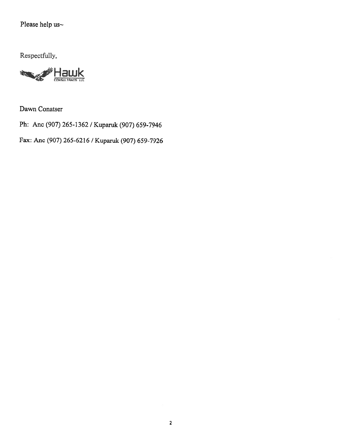# Please help us<br/>  $\sim$

Respectfully,



Dawn Conatser

Ph: Anc (907) 265-1362 / Kuparuk (907) 659-7946

Fax: Anc (907) 265-6216 / Kuparuk (907) 659-7926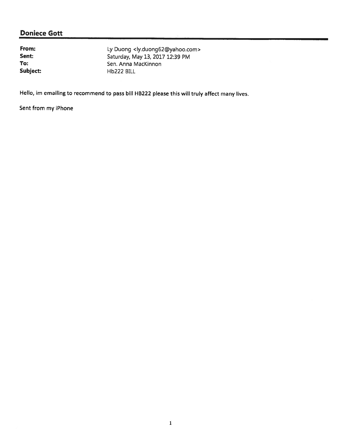From: Ly Duong <ly.duong62@yahoo.com><br>
Sent: Saturday, May 13, 2017 12:39 PM Sent: Saturday, May 13, 2017 12:39 PM<br>
To: Sen. Anna MacKinnon Sen. Anna MacKinnon Subject: Hb222 BILL

Hello, im emailing to recommend to pass bill HB222 please this will truly affect many lives.

Sent from my iPhone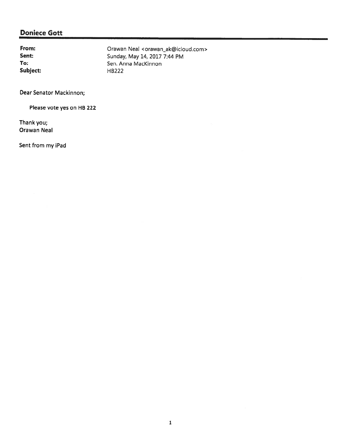Subject: HB222

From: Crawan Neal <orawan\_ak@icloud.com> Sent: Sunday, May 14, 2017 7:44 PM<br>
To: Sen. Anna MacKinnon Sen. Anna MacKinnon

Dear Senator Mackinnon;

Please vote yes on HB 222

Thank you; Orawan Neal

Sent from my iPad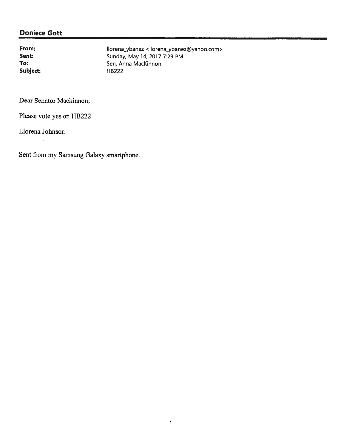Subject: HB222

From: Ilorena\_ybanez <Ilorena\_ybanez@yahoo.com><br>
Sunday, May 14, 2017 7:29 PM Sunday, May 14, 2017 7:29 PM<br>
To: Sen. Anna MacKinnon Sen. Anna MacKinnon

Dear Senator Mackinnon;

Please vote yes on HB222

Liorena Johnson

Sent from my Samsung Galaxy smartphone.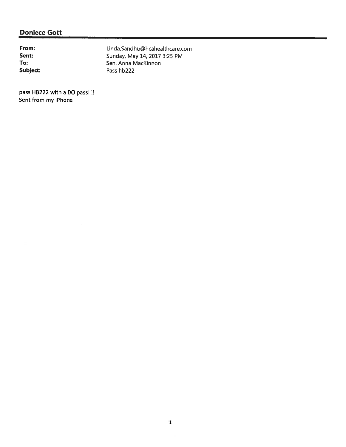From: Linda.Sandhu@hcahealthcare.com Sent: Sunday, May 14, 2017 3:25 PM<br>
To: Sen. Anna MacKinnon Sen. Anna MacKinnon Subject: Pass hb222

pass HB222 with a DO pass!!! Sent from my iPhone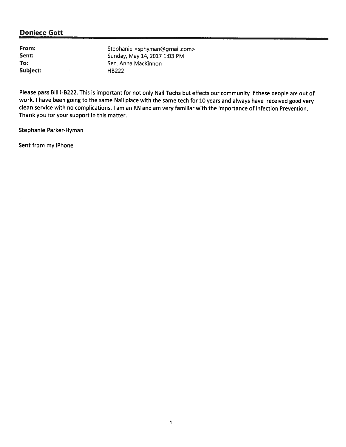Subject: HB222

From: Stephanie <sphyman@gmail.com><br>Sent: Sunday. May 14, 2017 1:03 PM Sunday, May 14, 2017 1:03 PM To: Sen. Anna MacKinnon

Please pass Bill HB222. This is important for not only Nail Techs but effects our community if these people are out of work. <sup>I</sup> have been going to the same Nail <sup>p</sup>lace with the same tech for <sup>10</sup> years and always have received goo<sup>d</sup> very clean service with no complications. <sup>I</sup> am an RN and am very familiar with the importance of Infection Prevention. Thank you for your support in this matter.

Stephanie Parker-Hyman

Sent from my iPhone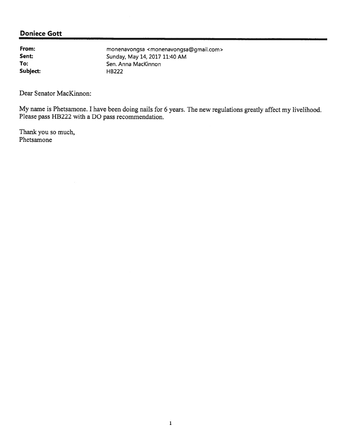Subject: HB222

From: monenavongsa <monenavongsa@gmail.com><br>
Sunday, May 14, 2017 11:40 AM Sent: Sunday, May 14, 2017 11:40 AM<br>
To: Sen. Anna MacKinnon Sen. Anna MacKinnon

Dear Senator MacKinnon:

My name is Phetsamone. <sup>I</sup> have been doing nails for <sup>6</sup> years. The new regulations greatly affect my livelihood. Please pass HB222 with a DO pass recommendation.

Thank you so much, Phetsamone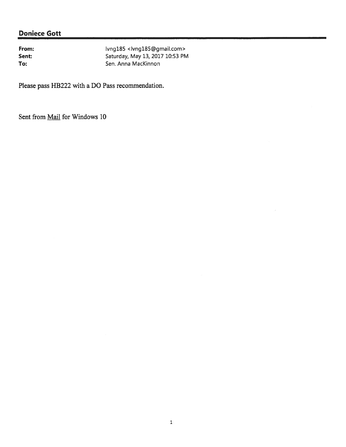From: Ivng185 <Ivng185@gmail.com> Sent: Sent: Saturday, May 13, 2017 10:53 PM To: Sen. Anna MacKinnon

Please pass HB222 with <sup>a</sup> DO Pass recommendation.

Sent from **Mail** for Windows 10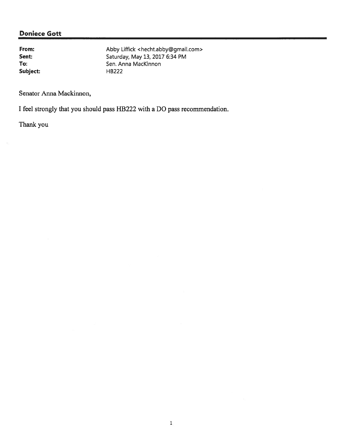Subject: HB222

From: Abby Liffick <hecht.abby@gmail.com><br>
Sent: Sent: Saturday, May 13, 2017 6:34 PM Sent: Sent: Saturday, May 13, 2017 6:34 PM<br>
To: Sen. Anna MacKinnon Sen. Anna MacKinnon

Senator Anna Mackinnon,

I feel strongly that you should pass HB222 with <sup>a</sup> DO pass recommendation.

Thank you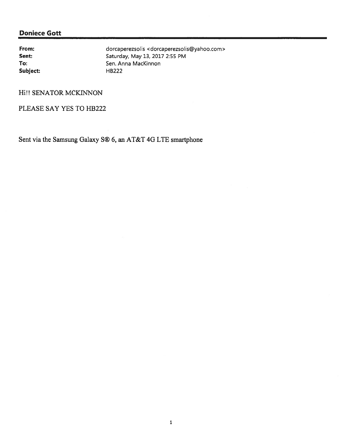Subject: HB222

From: dorcaperezsolis <dorcaperezsolis@yahoo.com> Sent: Saturday, May 13, 2017 2:55 PM To: Sen. Anna MacKinnon

Hi!! SENATOR MCKINNON

PLEASE SAY YES TO HB222

Sent via the Samsung Galaxy S® 6, an AT&T 4G LTE smartphone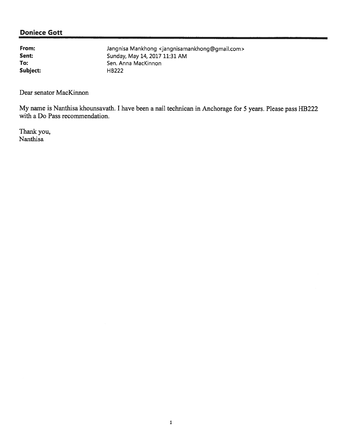Subject: HB222

From: Jangnisa Mankhong <jangnisamankhong@gmail.com> **Sent:** Sunday, May 14, 2017 11:31 AM To: Sen. Anna MacKinnon

Dear senator MacKinnon

My name is Nanthisa khounsavath. <sup>I</sup> have been <sup>a</sup> nail technican in Anchorage for <sup>5</sup> years. Please pass HB222 with <sup>a</sup> Do Pass recommendation.

Thank you, Nanthisa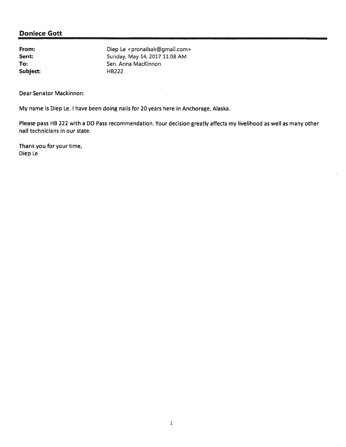| From:    | Diep Le <pronailsak@gmail.com></pronailsak@gmail.com> |
|----------|-------------------------------------------------------|
| Sent:    | Sunday, May 14, 2017 11:08 AM                         |
| To:      | Sen. Anna MacKinnon                                   |
| Subject: | HB <sub>222</sub>                                     |

Dear Senator Mackinnon:

My name is Diep Le. <sup>I</sup> have been doing nails for 20 years here in Anchorage, Alaska.

Please pass HB 222 with <sup>a</sup> DO Pass recommendation. Your decision greatly affects my livelihood as well as many other nail technicians in our state.

Thank you for your time, Diep Le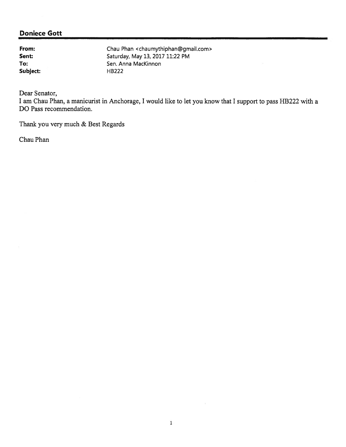Subject: HB222

From: Chau Phan <chaumythiphan@gmail.com><br>
Sent: Saturday, May 13, 2017 11:22 PM Saturday, May 13, 2017 11:22 PM To: Sen. Anna MacKinnon

Dear Senator,

<sup>I</sup> am Chau Phan, <sup>a</sup> manicurist in Anchorage, <sup>I</sup> would like to let you know that <sup>I</sup> suppor<sup>t</sup> to pass HB222 with <sup>a</sup> DO Pass recommendation.

Thank you very much & Best Regards

Chau Phan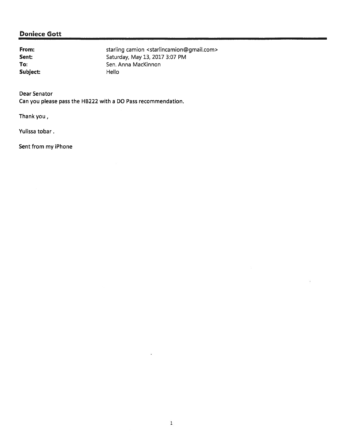Subject: Hello

From: starling camion <starlincamion@gmail.com> **Sent:** Saturday, May 13, 2017 3:07 PM To: Sen. Anna MacKinnon

Dear Senator

Can you please pass the HB222 with <sup>a</sup> DO Pass recommendation.

Thank you,

Yulissa tobar.

Sent from my iPhone

Ŷ.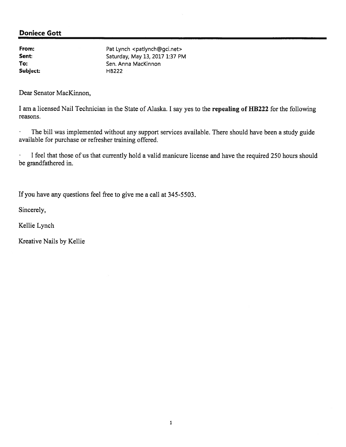| Pat Lynch <patlynch@gci.net></patlynch@gci.net> |
|-------------------------------------------------|
| Saturday, May 13, 2017 1:37 PM                  |
| Sen. Anna MacKinnon                             |
| <b>HB222</b>                                    |
|                                                 |

Dear Senator MacKinnon,

<sup>I</sup> am <sup>a</sup> licensed Nail Technician in the State of Alaska. <sup>I</sup> say yes to the repealing of HB222 for the following reasons.

 $\ddot{\phantom{1}}$ The bill was implemented without any suppor<sup>t</sup> services available. There should have been <sup>a</sup> study guide available for purchase or refresher training offered.

 $\ddot{\phantom{0}}$ <sup>I</sup> feel that those of us that currently hold <sup>a</sup> valid manicure license and have the required 250 hours should be grandfathered in.

If you have any questions feel free to give me <sup>a</sup> call at 345-5503.

Sincerely,

Kellie Lynch

Kreative Nails by Kellie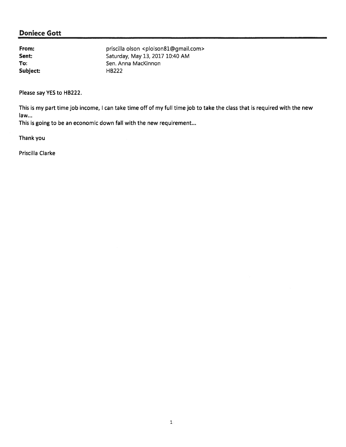Subject: HB222

From: priscilla olson <plolson81@gmail.com> **Sent:** Saturday, May 13, 2017 10:40 AM To: Sen. Anna MacKinnon

Please say YES to HB222.

This is my par<sup>t</sup> time job income, I can take time off of my full time job to take the class that is required with the new law...

This is going to be an economic down fall with the new requirement...

Thank you

Priscilla Clarke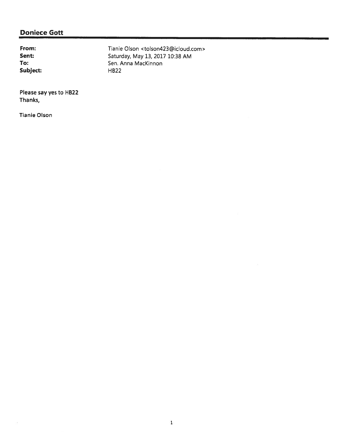Subject: HB22

From: Tianie Olson <tolson423@icloud.com> Sent: Sent: Saturday, May 13, 2017 10:38 AM<br>
To: Sen. Anna MacKinnon Sen. Anna MacKinnon

Please say yes to HB22 Thanks,

Tianie Olson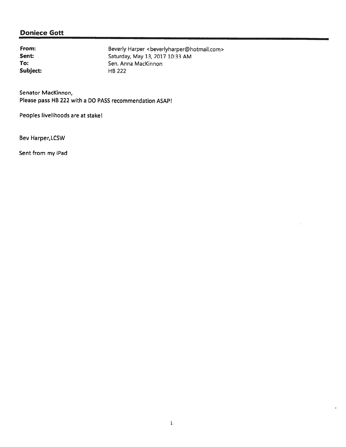Subject: HB <sup>222</sup>

From: Beverly Harper <beverlyharper@hotmail.com><br>
Sent: Saturday, May 13, 2017 10:33 AM Sent: Sent: Saturday, May 13, 2017 10:33 AM<br>
To: Sen. Anna MacKinnon Sen. Anna MacKinnon

Senator MacKinnon, Please pass HB 222 with <sup>a</sup> DO PASS recommendation ASAP!

Peoples livelihoods are at stake!

Bev Harper, LCSW

Sent from my iPad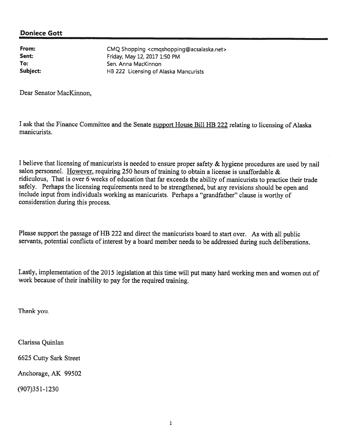From: CMQ Shopping <cmqshopping@acsalaska.net><br>
Sent: Friday. May 12, 2017 1.50 PM Friday, May 12, 2017 1:50 PM To: Sen. Anna MacKinnon Subject: **HB 222 Licensing of Alaska Mancurists** 

Dear Senator MacKinnon,

<sup>I</sup> ask that the Finance Committee and the Senate suppor<sup>t</sup> House Bill HB <sup>222</sup> relating to licensing of Alaska manicurists.

<sup>I</sup> believe that licensing of manicurists is needed to ensure proper safety & hygiene procedures are used by nail salon personnel. However, requiring <sup>250</sup> hours of training to obtain <sup>a</sup> license is unaffordable & ridiculous, That is over <sup>6</sup> weeks of education that far exceeds the ability of manicurists to practice their trade safely. Perhaps the licensing requirements need to be strengthened, but any revisions should be open and include input from individuals working as manicurists. Perhaps <sup>a</sup> "grandfather" clause is worthy of consideration during this process.

Please suppor<sup>t</sup> the passage of HB <sup>222</sup> and direct the manicurists board to start over. As with all public servants, potential conflicts of interest by a board member needs to be addressed during such deliberations.

Lastly, implementation of the <sup>2015</sup> legislation at this time will pu<sup>t</sup> many hard working men and women out of work because of their inability to pay for the required training.

Thank you.

Clarissa Quinlan

6625 Cutty Sark Street

Anchorage, AK 99502

(907)351-1230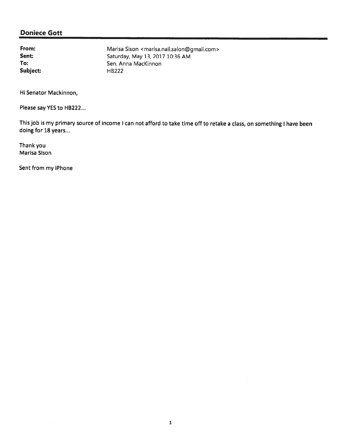Subject: HB222

From: Marisa Sison <marisa.nail.salon@gmail.com><br>
Sent: Saturday, May 13, 2017 10:36 AM Sent: Sent: Saturday, May 13, 2017 10:36 AM<br>
To: Sen. Anna MacKinnon Sen. Anna MacKinnon

Hi Senator Mackinnon,

Please say YES to HB222...

This job is my primary source of income <sup>I</sup> can not afford to take time off to retake <sup>a</sup> class, on something <sup>I</sup> have been doing for 18 years...

Thank you Marisa Sison

Sent from my iPhone

÷,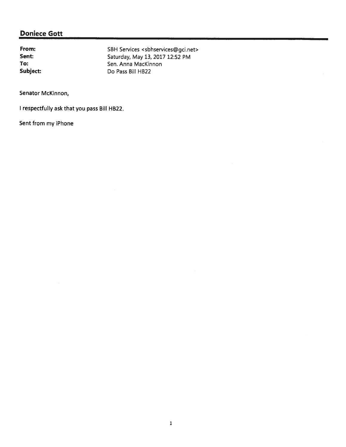From: SBH Services <sbhservices@gci.net><br>
Saturday, May 13, 2017 12:52 PM Sent: Sent: Saturday, May 13, 2017 12:52 PM<br>
To: Sen. Anna MacKinnon Sen. Anna MacKinnon Subject: Do Pass Bill HB22

Senator McKinnon,

<sup>I</sup> respectfully ask that you pass Bill HB22.

Sent from my iPhone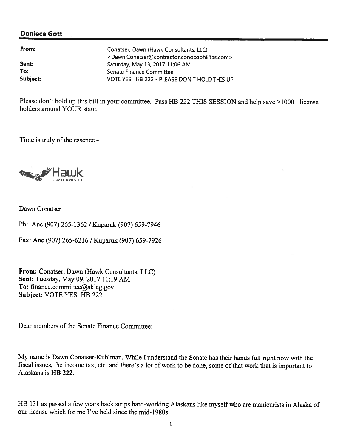| From:    | Conatser, Dawn (Hawk Consultants, LLC)                                                      |
|----------|---------------------------------------------------------------------------------------------|
|          | <dawn.conatser@contractor.conocophillips.com></dawn.conatser@contractor.conocophillips.com> |
| Sent:    | Saturday, May 13, 2017 11:06 AM                                                             |
| To:      | Senate Finance Committee                                                                    |
| Subject: | VOTE YES: HB 222 - PLEASE DON'T HOLD THIS UP                                                |

Please don't hold up this bill in your committee. Pass HB <sup>222</sup> THIS SESSION and help save >1000+ license holders around YOUR state.

Time is truly of the essence~



Dawn Conatser

Ph: Anc (907) 265-1362 / Kuparuk (907) 659-7946

Fax: Anc (907) 265-6216 / Kuparuk (907) 659-7926

From: Conatser, Dawn (Hawk Consultants, LLC) Sent: Tuesday, May 09, 2017 11:19 AM To: finance.committee@akleg.gov Subject: VOTE YES: HB 222

Dear members of the Senate Finance Committee:

My name is Dawn Conatser-Kuhiman. While <sup>I</sup> understand the Senate has their hands full right now with the fiscal issues, the income tax, etc. and there's <sup>a</sup> lot of work to be done, some of that work that is important to Alaskans is HB 222.

HB <sup>131</sup> as passe<sup>d</sup> <sup>a</sup> few years back strips hard-working Alaskans like myself who are manicurists in Alaska of our license which for me I've held since the mid-1980s.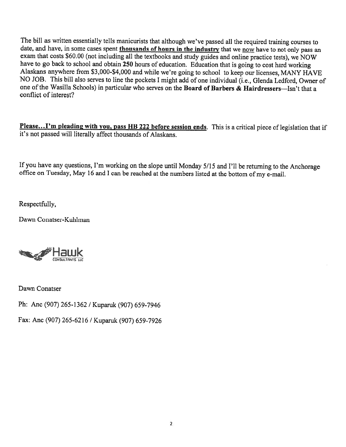The bill as written essentially tells manicurists that although we've passed all the required training courses to date, and have, in some cases spent thousands of hours in the industry that we now have to not only pass an exam that costs \$60.00 (not including all the textbooks and study guides and online practice tests), we NOW have to go back to school and obtain <sup>250</sup> hours of education. Education that is going to cost hard working Alaskans anywhere from \$3,000-\$4,000 and while we're going to school to keep our licenses, MANY HAVE NO JOB. This bill also serves to line the pockets <sup>I</sup> might add of one individual (i.e., Glenda Ledford, Owner of one ofthe Wasilla Schools) in particular who serves on the Board of Barbers & Hairdressers—Isn't that <sup>a</sup> conflict of interest?

Please... I'm pleading with you, pass HB 222 before session ends. This is a critical piece of legislation that if it's not passed will literally affect thousands of Alaskans.

If you have any questions, I'm working on the slope until Monday 5/15 and I'll be returning to the Anchorage office on Tuesday, May <sup>16</sup> and <sup>I</sup> can be reached at the numbers listed at the bottom of my e-mail.

Respectfully,

Dawn Conatser-Kuhiman



Dawn Conatser

Ph: Anc (907) 265-1362 / Kuparuk (907) 659-7946

Fax: Anc (907) 265-6216 / Kuparuk (907) 659-7926